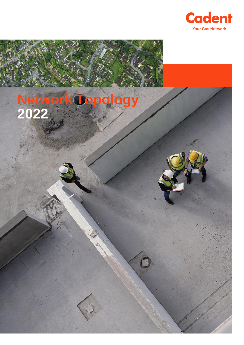

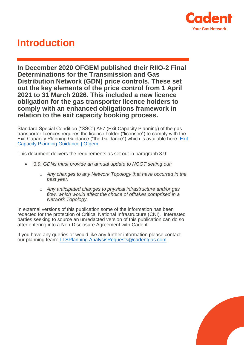

# **Introduction**

**In December 2020 OFGEM published their RIIO-2 Final Determinations for the Transmission and Gas Distribution Network (GDN) price controls. These set out the key elements of the price control from 1 April 2021 to 31 March 2026. This included a new licence obligation for the gas transporter licence holders to comply with an enhanced obligations framework in relation to the exit capacity booking process.** 

Standard Special Condition ("SSC") A57 (Exit Capacity Planning) of the gas transporter licences requires the licence holder ("licensee") to comply with the Exit Capacity Planning Guidance ("the Guidance") which is available here: [Exit](https://www.ofgem.gov.uk/publications-and-updates/exit-capacity-planning-guidance?utm_medium=email&utm_source=dotMailer&utm_campaign=Daily-Alert_19-03-2021&utm_content=Exit+Capacity+Planning+Guidance&dm_i=1QCB,7AN5S,EHP5GS,TL5YO,1)  [Capacity Planning Guidance | Ofgem](https://www.ofgem.gov.uk/publications-and-updates/exit-capacity-planning-guidance?utm_medium=email&utm_source=dotMailer&utm_campaign=Daily-Alert_19-03-2021&utm_content=Exit+Capacity+Planning+Guidance&dm_i=1QCB,7AN5S,EHP5GS,TL5YO,1)

This document delivers the requirements as set out in paragraph 3.9:

- *3.9. GDNs must provide an annual update to NGGT setting out:*
	- o *Any changes to any Network Topology that have occurred in the past year.*
	- o *Any anticipated changes to physical infrastructure and/or gas flow, which would affect the choice of offtakes comprised in a Network Topology.*

In external versions of this publication some of the information has been redacted for the protection of Critical National Infrastructure (CNI). Interested parties seeking to source an unredacted version of this publication can do so after entering into a Non-Disclosure Agreement with Cadent.

If you have any queries or would like any further information please contact our planning team: [LTSPlanning.AnalysisRequests@cadentgas.com](mailto:LTSPlanning.AnalysisRequests@cadentgas.com)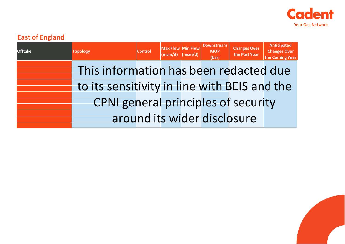

## **East of England**

| <b>Offtake</b> | <b>Topology</b>                              | <b>Control</b> | <b>Max Flow Min Flow</b><br>$(mcm/d)$ (mcm/d) | <b>Downstream</b><br><b>MOP</b><br>(bar) | <b>Changes Over</b><br>the Past Year | <b>Anticipated</b><br><b>Changes Over</b><br>the Coming Year |
|----------------|----------------------------------------------|----------------|-----------------------------------------------|------------------------------------------|--------------------------------------|--------------------------------------------------------------|
|                | This information has been redacted due       |                |                                               |                                          |                                      |                                                              |
|                | to its sensitivity in line with BEIS and the |                |                                               |                                          |                                      |                                                              |
|                | <b>CPNI</b> general principles of security   |                |                                               |                                          |                                      |                                                              |
|                |                                              |                |                                               |                                          | around its wider disclosure          |                                                              |

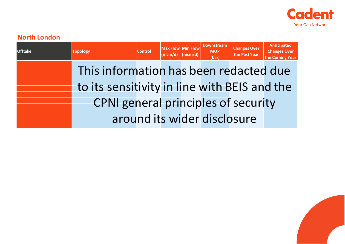

#### **North London**

| <b>Offtake</b> | <b>Topology</b>                              | <b>Control</b> | <b>Max Flow Min Flow</b><br>$(mcm/d)$ $(mcm/d)$ | <b>Downstream</b><br><b>MOP</b><br>(bar) | <b>Changes Over</b><br>the Past Year | <b>Anticipated</b><br><b>Changes Over</b><br>the Coming Year |
|----------------|----------------------------------------------|----------------|-------------------------------------------------|------------------------------------------|--------------------------------------|--------------------------------------------------------------|
|                | This information has been redacted due       |                |                                                 |                                          |                                      |                                                              |
|                | to its sensitivity in line with BEIS and the |                |                                                 |                                          |                                      |                                                              |
|                | <b>CPNI</b> general principles of security   |                |                                                 |                                          |                                      |                                                              |
|                |                                              |                |                                                 |                                          | around its wider disclosure          |                                                              |

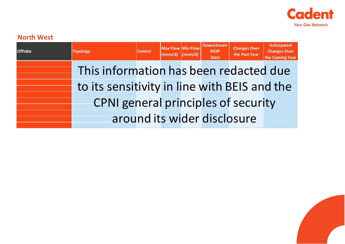

### **North West**

| <b>Offtake</b> | <b>Topology</b>                              | <b>Control</b> | <b>Max Flow Min Flow</b><br>$ (mcm/d)$ $ (mcm/d) $ | <b>Downstream</b><br><b>MOP</b><br>(bar) | <b>Changes Over</b><br>the Past Year | Anticipated<br><b>Changes Over</b><br>the Coming Year |
|----------------|----------------------------------------------|----------------|----------------------------------------------------|------------------------------------------|--------------------------------------|-------------------------------------------------------|
|                | This information has been redacted due       |                |                                                    |                                          |                                      |                                                       |
|                | to its sensitivity in line with BEIS and the |                |                                                    |                                          |                                      |                                                       |
|                | <b>CPNI</b> general principles of security   |                |                                                    |                                          |                                      |                                                       |
|                |                                              |                |                                                    |                                          | around its wider disclosure          |                                                       |